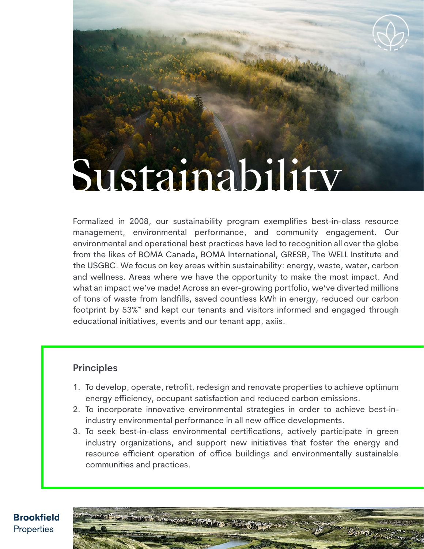# Sustainability

Formalized in 2008, our sustainability program exemplifies best-in-class resource management, environmental performance, and community engagement. Our environmental and operational best practices have led to recognition all over the globe from the likes of BOMA Canada, BOMA International, GRESB, The WELL Institute and the USGBC. We focus on key areas within sustainability: energy, waste, water, carbon and wellness. Areas where we have the opportunity to make the most impact. And what an impact we've made! Across an ever-growing portfolio, we've diverted millions of tons of waste from landfills, saved countless kWh in energy, reduced our carbon footprint by 53%\* and kept our tenants and visitors informed and engaged through educational initiatives, events and our tenant app, axiis.

# **Principles**

- 1. To develop, operate, retrofit, redesign and renovate properties to achieve optimum energy efficiency, occupant satisfaction and reduced carbon emissions.
- 2. To incorporate innovative environmental strategies in order to achieve best-inindustry environmental performance in all new office developments.
- 3. To seek best-in-class environmental certifications, actively participate in green industry organizations, and support new initiatives that foster the energy and resource efficient operation of office buildings and environmentally sustainable communities and practices.

**CITY DECKS** 

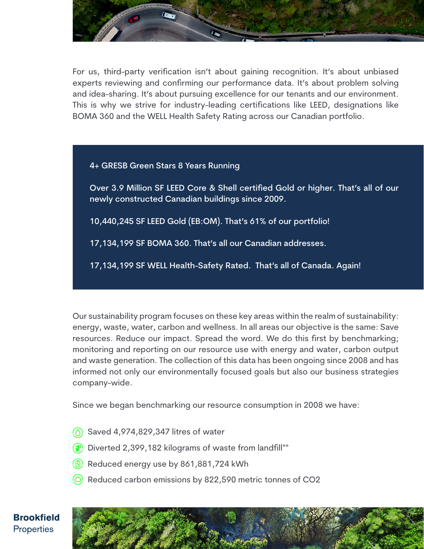

For us, third-party verification isn't about gaining recognition. It's about unbiased experts reviewing and confirming our performance data. It's about problem solving and idea-sharing. It's about pursuing excellence for our tenants and our environment. This is why we strive for industry-leading certifications like LEED, designations like BOMA 360 and the WELL Health Safety Rating across our Canadian portfolio.

### 4+ GRESB Green Stars 8 Years Running

Over 3.9 Million SF LEED Core & Shell certified Gold or higher. That's all of our newly constructed Canadian buildings since 2009.

10,440,245 SF LEED Gold (EB:OM). That's 61% of our portfolio!

17,134,199 SF BOMA 360. That's all our Canadian addresses.

17,134,199 SF WELL Health-Safety Rated. That's all of Canada. Again!

Our sustainability program focuses on these key areas within the realm of sustainability: energy, waste, water, carbon and wellness. In all areas our objective is the same: Save resources. Reduce our impact. Spread the word. We do this first by benchmarking; monitoring and reporting on our resource use with energy and water, carbon output and waste generation. The collection of this data has been ongoing since 2008 and has informed not only our environmentally focused goals but also our business strategies company-wide.

Since we began benchmarking our resource consumption in 2008 we have:

- $\circ$  Saved 4,974,829,347 litres of water
- $\left(\frac{2}{3}\right)$  Diverted 2,399,182 kilograms of waste from landfill\*\*
- $\left(\begin{matrix} 6 \end{matrix}\right)$  Reduced energy use by 861,881,724 kWh
- $\circlearrowright$  Reduced carbon emissions by 822,590 metric tonnes of CO2

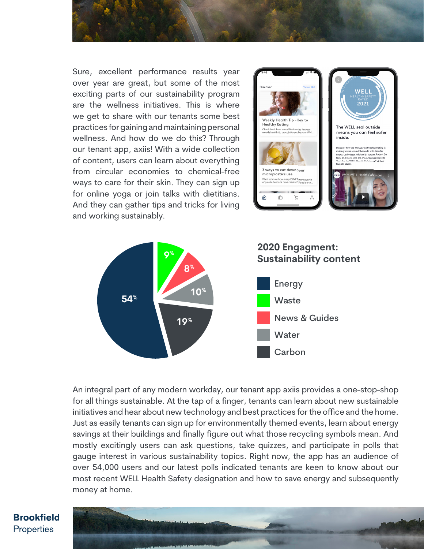

Sure, excellent performance results year over year are great, but some of the most exciting parts of our sustainability program are the wellness initiatives. This is where we get to share with our tenants some best practices for gaining and maintaining personal wellness. And how do we do this? Through our tenant app, axiis! With a wide collection of content, users can learn about everything from circular economies to chemical-free ways to care for their skin. They can sign up for online yoga or join talks with dietitians. And they can gather tips and tricks for living and working sustainably.





An integral part of any modern workday, our tenant app axiis provides a one-stop-shop for all things sustainable. At the tap of a finger, tenants can learn about new sustainable initiatives and hear about new technology and best practices for the office and the home. Just as easily tenants can sign up for environmentally themed events, learn about energy savings at their buildings and finally figure out what those recycling symbols mean. And mostly excitingly users can ask questions, take quizzes, and participate in polls that gauge interest in various sustainability topics. Right now, the app has an audience of over 54,000 users and our latest polls indicated tenants are keen to know about our most recent WELL Health Safety designation and how to save energy and subsequently money at home.

## **Brookfield** Properties